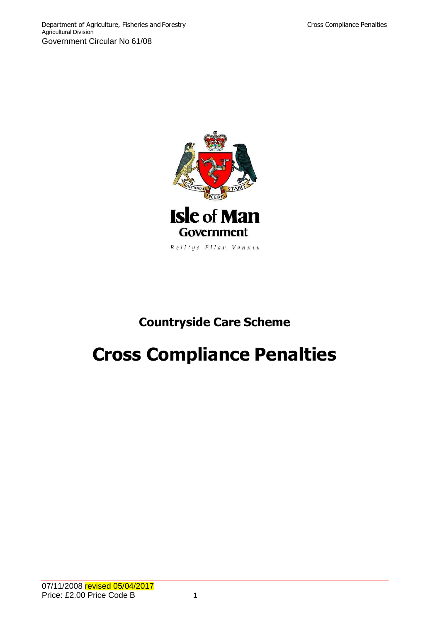

## **Countryside Care Scheme**

# **Cross Compliance Penalties**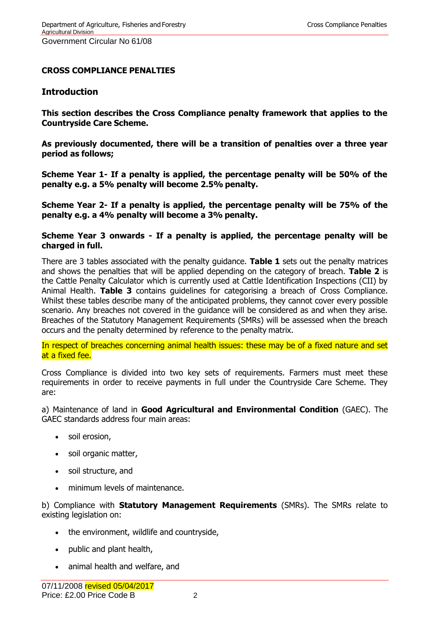## **CROSS COMPLIANCE PENALTIES**

#### **Introduction**

**This section describes the Cross Compliance penalty framework that applies to the Countryside Care Scheme.**

**As previously documented, there will be a transition of penalties over a three year period as follows;**

**Scheme Year 1- If a penalty is applied, the percentage penalty will be 50% of the penalty e.g. a 5% penalty will become 2.5% penalty.**

**Scheme Year 2- If a penalty is applied, the percentage penalty will be 75% of the penalty e.g. a 4% penalty will become a 3% penalty.**

#### **Scheme Year 3 onwards - If a penalty is applied, the percentage penalty will be charged in full.**

There are 3 tables associated with the penalty guidance. **Table 1** sets out the penalty matrices and shows the penalties that will be applied depending on the category of breach. **Table 2** is the Cattle Penalty Calculator which is currently used at Cattle Identification Inspections (CII) by Animal Health. **Table 3** contains guidelines for categorising a breach of Cross Compliance. Whilst these tables describe many of the anticipated problems, they cannot cover every possible scenario. Any breaches not covered in the guidance will be considered as and when they arise. Breaches of the Statutory Management Requirements (SMRs) will be assessed when the breach occurs and the penalty determined by reference to the penalty matrix.

In respect of breaches concerning animal health issues: these may be of a fixed nature and set at a fixed fee.

Cross Compliance is divided into two key sets of requirements. Farmers must meet these requirements in order to receive payments in full under the Countryside Care Scheme. They are:

a) Maintenance of land in **Good Agricultural and Environmental Condition** (GAEC). The GAEC standards address four main areas:

- soil erosion,
- soil organic matter,
- soil structure, and
- minimum levels of maintenance.

b) Compliance with **Statutory Management Requirements** (SMRs). The SMRs relate to existing legislation on:

- the environment, wildlife and countryside,
- public and plant health,
- animal health and welfare, and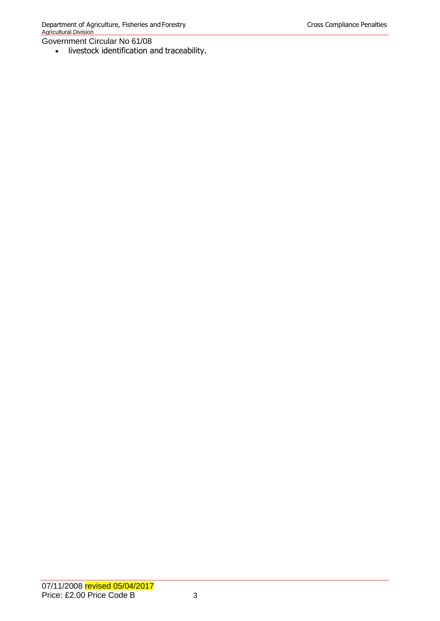livestock identification and traceability.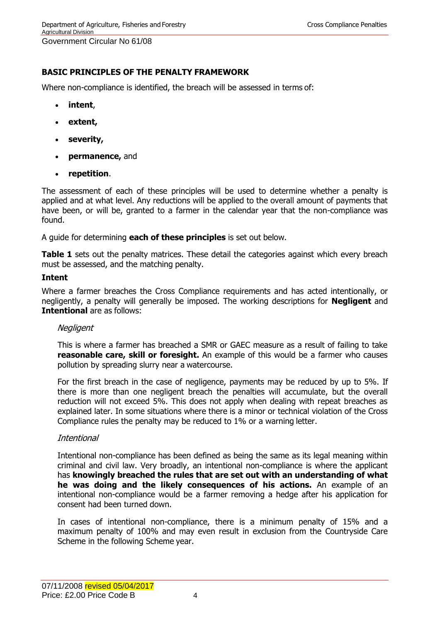## **BASIC PRINCIPLES OF THE PENALTY FRAMEWORK**

Where non-compliance is identified, the breach will be assessed in terms of:

- **intent**,
- **extent,**
- **severity,**
- **permanence,** and
- **repetition**.

The assessment of each of these principles will be used to determine whether a penalty is applied and at what level. Any reductions will be applied to the overall amount of payments that have been, or will be, granted to a farmer in the calendar year that the non-compliance was found.

A guide for determining **each of these principles** is set out below.

**Table 1** sets out the penalty matrices. These detail the categories against which every breach must be assessed, and the matching penalty.

#### **Intent**

Where a farmer breaches the Cross Compliance requirements and has acted intentionally, or negligently, a penalty will generally be imposed. The working descriptions for **Negligent** and **Intentional** are as follows:

#### **Negligent**

This is where a farmer has breached a SMR or GAEC measure as a result of failing to take **reasonable care, skill or foresight.** An example of this would be a farmer who causes pollution by spreading slurry near a watercourse.

For the first breach in the case of negligence, payments may be reduced by up to 5%. If there is more than one negligent breach the penalties will accumulate, but the overall reduction will not exceed 5%. This does not apply when dealing with repeat breaches as explained later. In some situations where there is a minor or technical violation of the Cross Compliance rules the penalty may be reduced to 1% or a warning letter.

#### Intentional

Intentional non-compliance has been defined as being the same as its legal meaning within criminal and civil law. Very broadly, an intentional non-compliance is where the applicant has **knowingly breached the rules that are set out with an understanding of what he was doing and the likely consequences of his actions.** An example of an intentional non-compliance would be a farmer removing a hedge after his application for consent had been turned down.

In cases of intentional non-compliance, there is a minimum penalty of 15% and a maximum penalty of 100% and may even result in exclusion from the Countryside Care Scheme in the following Scheme year.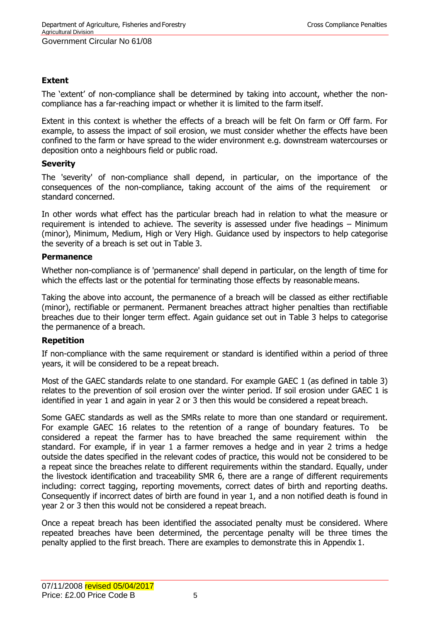## **Extent**

The 'extent' of non-compliance shall be determined by taking into account, whether the noncompliance has a far-reaching impact or whether it is limited to the farm itself.

Extent in this context is whether the effects of a breach will be felt On farm or Off farm. For example, to assess the impact of soil erosion, we must consider whether the effects have been confined to the farm or have spread to the wider environment e.g. downstream watercourses or deposition onto a neighbours field or public road.

## **Severity**

The 'severity' of non-compliance shall depend, in particular, on the importance of the consequences of the non-compliance, taking account of the aims of the requirement or standard concerned.

In other words what effect has the particular breach had in relation to what the measure or requirement is intended to achieve. The severity is assessed under five headings – Minimum (minor), Minimum, Medium, High or Very High. Guidance used by inspectors to help categorise the severity of a breach is set out in Table 3.

## **Permanence**

Whether non-compliance is of 'permanence' shall depend in particular, on the length of time for which the effects last or the potential for terminating those effects by reasonable means.

Taking the above into account, the permanence of a breach will be classed as either rectifiable (minor), rectifiable or permanent. Permanent breaches attract higher penalties than rectifiable breaches due to their longer term effect. Again guidance set out in Table 3 helps to categorise the permanence of a breach.

## **Repetition**

If non-compliance with the same requirement or standard is identified within a period of three years, it will be considered to be a repeat breach.

Most of the GAEC standards relate to one standard. For example GAEC 1 (as defined in table 3) relates to the prevention of soil erosion over the winter period. If soil erosion under GAEC 1 is identified in year 1 and again in year 2 or 3 then this would be considered a repeat breach.

Some GAEC standards as well as the SMRs relate to more than one standard or requirement. For example GAEC 16 relates to the retention of a range of boundary features. To be considered a repeat the farmer has to have breached the same requirement within the standard. For example, if in year 1 a farmer removes a hedge and in year 2 trims a hedge outside the dates specified in the relevant codes of practice, this would not be considered to be a repeat since the breaches relate to different requirements within the standard. Equally, under the livestock identification and traceability SMR 6, there are a range of different requirements including: correct tagging, reporting movements, correct dates of birth and reporting deaths. Consequently if incorrect dates of birth are found in year 1, and a non notified death is found in year 2 or 3 then this would not be considered a repeat breach.

Once a repeat breach has been identified the associated penalty must be considered. Where repeated breaches have been determined, the percentage penalty will be three times the penalty applied to the first breach. There are examples to demonstrate this in Appendix 1.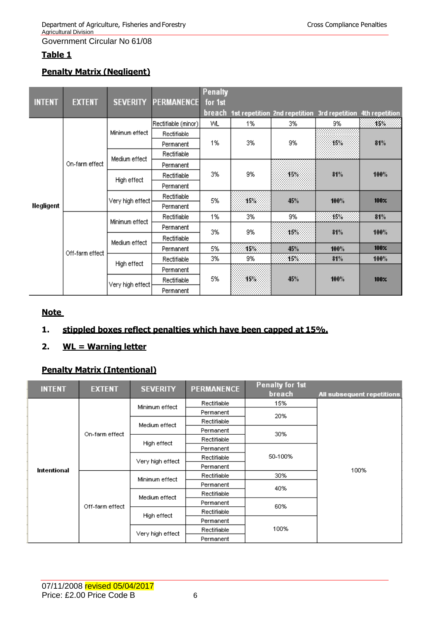## **Table 1**

## **Penalty Matrix (Negligent)**

| <b>INTENT</b> | <b>EXTENT</b>   | <b>SEVERITY</b>  | <b>PERMANENCE</b>   | <b>Penalty</b><br>for 1st |     |                                              |      |                  |
|---------------|-----------------|------------------|---------------------|---------------------------|-----|----------------------------------------------|------|------------------|
|               |                 |                  |                     | breach                    |     | 1st repetition 2nd repetition 3rd repetition |      | 4th repetition   |
|               |                 |                  | Rectifiable (minor) | VVL.                      | 1%  | 3%                                           | 9%   | 15%              |
|               |                 | Minimum effect   | Rectifiable         |                           |     |                                              |      |                  |
|               |                 |                  | Permanent           | 1%                        | 3%  | 9%                                           | 16%  | 81%              |
|               |                 | Medium effect    | Rectifiable         |                           |     |                                              |      |                  |
|               | On-farm effect  |                  | Permanent           |                           |     |                                              |      |                  |
|               |                 | High effect      | Rectifiable         | 3%                        | 9%  | 15%                                          | 81%  | 100%             |
|               |                 |                  | Permanent           |                           |     |                                              |      |                  |
|               |                 | Very high effect | Rectifiable         | 5%                        | 15% | 45%                                          | 100% | 100 <sub>x</sub> |
| Negligent     |                 |                  | Permanent           |                           |     |                                              |      |                  |
|               |                 | Minimum effect   | Rectifiable         | 1%                        | 3%  | 9%                                           | 16%  | 81%              |
|               |                 |                  | Permanent           | 3%                        | 9%  | 15%                                          | 81%  | 100%             |
|               |                 | Medium effect    | Rectifiable         |                           |     |                                              |      |                  |
|               | Off-farm effect |                  | Permanent           | 5%                        | 15% | 45%                                          | 100% | 100 <sub>x</sub> |
|               |                 | High effect      | Rectifiable         | 3%                        | 9%  | 15%                                          | 81%  | 100%             |
|               |                 |                  | Permanent           |                           |     |                                              |      |                  |
|               |                 |                  | Rectifiable         | 5%                        | 15% | 45%                                          | 100% | 100 <sub>X</sub> |
|               |                 | Very high effect | Permanent           |                           |     |                                              |      |                  |

## **Note**

## **1. stippled boxes reflect penalties which have been capped at 15%.**

**2. WL = Warning letter**

## **Penalty Matrix (Intentional)**

| <b>INTENT</b><br><b>EXTENT</b> |                 | <b>SEVERITY</b>  | <b>PERMANENCE</b> | <b>Penalty for 1st</b> |                            |  |
|--------------------------------|-----------------|------------------|-------------------|------------------------|----------------------------|--|
|                                |                 |                  |                   | breach                 | All subsequent repetitions |  |
|                                |                 | Minimum effect   | Rectifiable       | 15%                    |                            |  |
|                                |                 |                  | Permanent         | 20%                    |                            |  |
|                                |                 | Medium effect    | Rectifiable       |                        |                            |  |
|                                | On-farm effect  |                  | Permanent         | 30%                    |                            |  |
|                                |                 | High effect      | Rectifiable       |                        | 100%                       |  |
|                                |                 |                  | Permanent         |                        |                            |  |
|                                |                 | Very high effect | Rectifiable       | 50-100%                |                            |  |
| Intentional                    |                 |                  | Permanent         |                        |                            |  |
|                                |                 | Minimum effect   | Rectifiable       | 30%                    |                            |  |
|                                |                 |                  | Permanent         | 40%                    |                            |  |
|                                |                 | Medium effect    | Rectifiable       |                        |                            |  |
|                                | Off-farm effect |                  | Permanent         | 60%                    |                            |  |
|                                |                 | High effect      | Rectifiable       |                        |                            |  |
|                                |                 |                  | Permanent         |                        |                            |  |
|                                |                 | Very high effect | Rectifiable       | 100%                   |                            |  |
|                                |                 |                  | Permanent         |                        |                            |  |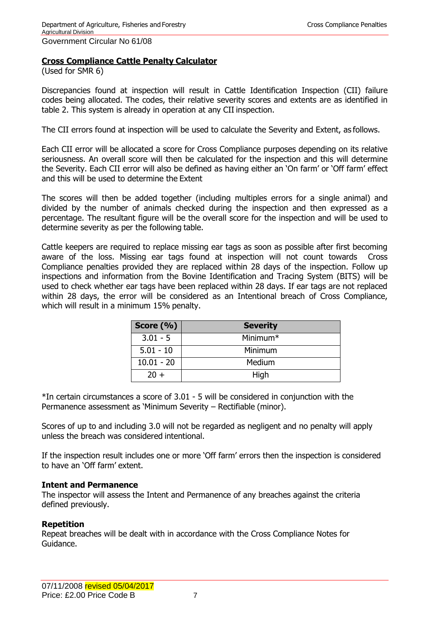## **Cross Compliance Cattle Penalty Calculator**

(Used for SMR 6)

Discrepancies found at inspection will result in Cattle Identification Inspection (CII) failure codes being allocated. The codes, their relative severity scores and extents are as identified in table 2. This system is already in operation at any CII inspection.

The CII errors found at inspection will be used to calculate the Severity and Extent, as follows.

Each CII error will be allocated a score for Cross Compliance purposes depending on its relative seriousness. An overall score will then be calculated for the inspection and this will determine the Severity. Each CII error will also be defined as having either an 'On farm' or 'Off farm' effect and this will be used to determine the Extent

The scores will then be added together (including multiples errors for a single animal) and divided by the number of animals checked during the inspection and then expressed as a percentage. The resultant figure will be the overall score for the inspection and will be used to determine severity as per the following table.

Cattle keepers are required to replace missing ear tags as soon as possible after first becoming aware of the loss. Missing ear tags found at inspection will not count towards Cross Compliance penalties provided they are replaced within 28 days of the inspection. Follow up inspections and information from the Bovine Identification and Tracing System (BITS) will be used to check whether ear tags have been replaced within 28 days. If ear tags are not replaced within 28 days, the error will be considered as an Intentional breach of Cross Compliance, which will result in a minimum 15% penalty.

| Score $(\% )$ | <b>Severity</b>      |
|---------------|----------------------|
| $3.01 - 5$    | Minimum <sup>*</sup> |
| $5.01 - 10$   | Minimum              |
| $10.01 - 20$  | Medium               |
| $20 +$        | High                 |

\*In certain circumstances a score of 3.01 - 5 will be considered in conjunction with the Permanence assessment as 'Minimum Severity – Rectifiable (minor).

Scores of up to and including 3.0 will not be regarded as negligent and no penalty will apply unless the breach was considered intentional.

If the inspection result includes one or more 'Off farm' errors then the inspection is considered to have an 'Off farm' extent.

#### **Intent and Permanence**

The inspector will assess the Intent and Permanence of any breaches against the criteria defined previously.

#### **Repetition**

Repeat breaches will be dealt with in accordance with the Cross Compliance Notes for Guidance.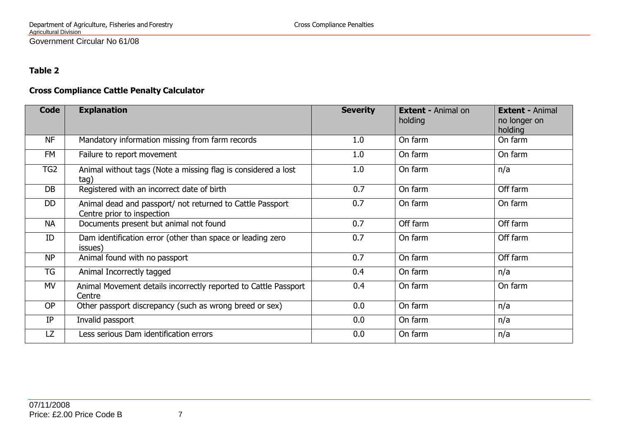## **Table 2**

## **Cross Compliance Cattle Penalty Calculator**

| <b>Code</b>     | <b>Explanation</b>                                                                      | <b>Severity</b> | <b>Extent - Animal on</b><br>holding | <b>Extent - Animal</b><br>no longer on<br>holding |
|-----------------|-----------------------------------------------------------------------------------------|-----------------|--------------------------------------|---------------------------------------------------|
| <b>NF</b>       | Mandatory information missing from farm records                                         | 1.0             | On farm                              | On farm                                           |
| FM              | Failure to report movement                                                              | 1.0             | On farm                              | On farm                                           |
| TG <sub>2</sub> | Animal without tags (Note a missing flag is considered a lost<br>tag)                   | 1.0             | On farm                              | n/a                                               |
| DB              | Registered with an incorrect date of birth                                              | 0.7             | On farm                              | Off farm                                          |
| <b>DD</b>       | Animal dead and passport/ not returned to Cattle Passport<br>Centre prior to inspection | 0.7             | On farm                              | On farm                                           |
| <b>NA</b>       | Documents present but animal not found                                                  | 0.7             | Off farm                             | Off farm                                          |
| ID              | Dam identification error (other than space or leading zero<br>issues)                   | 0.7             | On farm                              | Off farm                                          |
| <b>NP</b>       | Animal found with no passport                                                           | 0.7             | On farm                              | Off farm                                          |
| <b>TG</b>       | Animal Incorrectly tagged                                                               | 0.4             | On farm                              | n/a                                               |
| MV              | Animal Movement details incorrectly reported to Cattle Passport<br>Centre               | 0.4             | On farm                              | On farm                                           |
| <b>OP</b>       | Other passport discrepancy (such as wrong breed or sex)                                 | 0.0             | On farm                              | n/a                                               |
| IP              | Invalid passport                                                                        | 0.0             | On farm                              | n/a                                               |
| LZ.             | Less serious Dam identification errors                                                  | 0.0             | On farm                              | n/a                                               |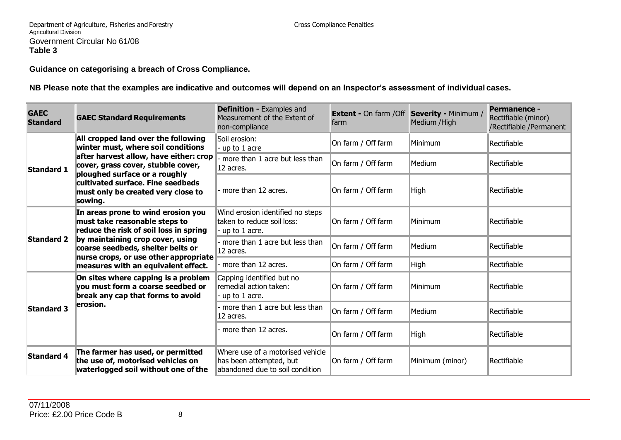**Guidance on categorising a breach of Cross Compliance.**

**NB Please note that the examples are indicative and outcomes will depend on an Inspector's assessment of individual cases.**

| <b>GAEC</b><br><b>Standard</b> | <b>GAEC Standard Requirements</b>                                                                                   | <b>Definition - Examples and</b><br>Measurement of the Extent of<br>non-compliance             | <b>Extent - On farm / Off Severity - Minimum /</b><br>farm | Medium /High    | <b>Permanence -</b><br>Rectifiable (minor)<br>/Rectifiable /Permanent |
|--------------------------------|---------------------------------------------------------------------------------------------------------------------|------------------------------------------------------------------------------------------------|------------------------------------------------------------|-----------------|-----------------------------------------------------------------------|
|                                | All cropped land over the following<br>winter must, where soil conditions                                           | Soil erosion:<br>up to 1 acre                                                                  | On farm / Off farm                                         | Minimum         | Rectifiable                                                           |
| <b>Standard 1</b>              | after harvest allow, have either: crop<br>cover, grass cover, stubble cover,                                        | more than 1 acre but less than<br>12 acres.                                                    | On farm / Off farm                                         | Medium          | Rectifiable                                                           |
|                                | ploughed surface or a roughly<br>cultivated surface. Fine seedbeds<br>must only be created very close to<br>sowing. | - more than 12 acres.                                                                          | On farm / Off farm                                         | High            | Rectifiable                                                           |
|                                | In areas prone to wind erosion you<br>must take reasonable steps to<br>reduce the risk of soil loss in spring       | Wind erosion identified no steps<br>taken to reduce soil loss:<br>up to 1 acre.                | On farm / Off farm                                         | Minimum         | Rectifiable                                                           |
| <b>Standard 2</b>              | by maintaining crop cover, using<br>coarse seedbeds, shelter belts or                                               | more than 1 acre but less than<br>12 acres.                                                    | On farm / Off farm                                         | Medium          | Rectifiable                                                           |
|                                | nurse crops, or use other appropriate<br>measures with an equivalent effect.                                        | more than 12 acres.                                                                            | On farm / Off farm                                         | High            | Rectifiable                                                           |
|                                | On sites where capping is a problem<br>vou must form a coarse seedbed or<br>break any cap that forms to avoid       | Capping identified but no<br>remedial action taken:<br>up to 1 acre.                           | On farm / Off farm                                         | Minimum         | Rectifiable                                                           |
| <b>Standard 3</b>              | lerosion.                                                                                                           | more than 1 acre but less than<br>12 acres.                                                    | On farm / Off farm                                         | Medium          | Rectifiable                                                           |
|                                |                                                                                                                     | more than 12 acres.                                                                            | On farm / Off farm                                         | High            | Rectifiable                                                           |
| <b>Standard 4</b>              | The farmer has used, or permitted<br>the use of, motorised vehicles on<br>waterlogged soil without one of the       | Where use of a motorised vehicle<br>has been attempted, but<br>abandoned due to soil condition | On farm / Off farm                                         | Minimum (minor) | Rectifiable                                                           |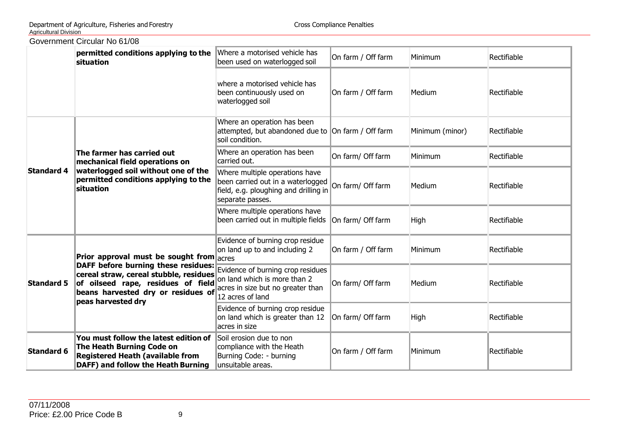|                   | <b>OUVEITIMENT CITCUIAL INDIO 1700</b>                                                                                                                                                                                                                                                       |                                                                                                                                  |                    |                 |             |
|-------------------|----------------------------------------------------------------------------------------------------------------------------------------------------------------------------------------------------------------------------------------------------------------------------------------------|----------------------------------------------------------------------------------------------------------------------------------|--------------------|-----------------|-------------|
|                   | permitted conditions applying to the<br>situation                                                                                                                                                                                                                                            | Where a motorised vehicle has<br>been used on waterlogged soil                                                                   | On farm / Off farm | Minimum         | Rectifiable |
|                   |                                                                                                                                                                                                                                                                                              | where a motorised vehicle has<br>been continuously used on<br>waterlogged soil                                                   | On farm / Off farm | Medium          | Rectifiable |
|                   |                                                                                                                                                                                                                                                                                              | Where an operation has been<br>attempted, but abandoned due to On farm / Off farm<br>soil condition.                             |                    | Minimum (minor) | Rectifiable |
|                   | The farmer has carried out<br>mechanical field operations on                                                                                                                                                                                                                                 | Where an operation has been<br>carried out.                                                                                      | On farm/ Off farm  | Minimum         | Rectifiable |
| <b>Standard 4</b> | waterlogged soil without one of the<br>permitted conditions applying to the<br>situation                                                                                                                                                                                                     | Where multiple operations have<br>been carried out in a waterlogged<br>field, e.g. ploughing and drilling in<br>separate passes. | On farm/ Off farm  | Medium          | Rectifiable |
|                   |                                                                                                                                                                                                                                                                                              | Where multiple operations have<br>been carried out in multiple fields                                                            | On farm/ Off farm  | High            | Rectifiable |
|                   | Prior approval must be sought from $ _{\text{acres}}$                                                                                                                                                                                                                                        | Evidence of burning crop residue<br>on land up to and including 2                                                                | On farm / Off farm | Minimum         | Rectifiable |
| <b>Standard 5</b> | <b>DAFF before burning these residues:</b><br>cereal straw, cereal stubble, residues<br>of oilseed rape, residues of field<br>beans harvested dry or residues of $\begin{bmatrix} 1 & 1 & 1 \\ 1 & 2 & 2 \\ 2 & 3 & 3 \end{bmatrix}$ acres in size but no greater than<br>peas harvested dry | Evidence of burning crop residues<br>on land which is more than 2                                                                | On farm/ Off farm  | Medium          | Rectifiable |
|                   |                                                                                                                                                                                                                                                                                              | Evidence of burning crop residue<br>on land which is greater than 12<br>acres in size                                            | On farm/ Off farm  | High            | Rectifiable |
| <b>Standard 6</b> | You must follow the latest edition of<br>The Heath Burning Code on<br><b>Registered Heath (available from</b><br>DAFF) and follow the Heath Burning                                                                                                                                          | Soil erosion due to non<br>compliance with the Heath<br>Burning Code: - burning<br>unsuitable areas.                             | On farm / Off farm | Minimum         | Rectifiable |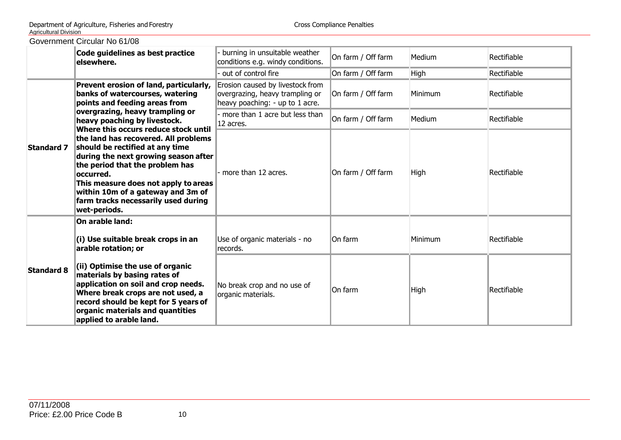| GOVERNMENT CITCURT NO 6 1/08 |                                                                                                                                                                                                                                                                                                      |                                                                                                        |                    |             |             |  |
|------------------------------|------------------------------------------------------------------------------------------------------------------------------------------------------------------------------------------------------------------------------------------------------------------------------------------------------|--------------------------------------------------------------------------------------------------------|--------------------|-------------|-------------|--|
|                              | Code guidelines as best practice<br>lelsewhere.                                                                                                                                                                                                                                                      | burning in unsuitable weather<br>conditions e.g. windy conditions.                                     | On farm / Off farm | Medium      | Rectifiable |  |
|                              |                                                                                                                                                                                                                                                                                                      | out of control fire                                                                                    | On farm / Off farm | High        | Rectifiable |  |
|                              | Prevent erosion of land, particularly,<br>banks of watercourses, watering<br>points and feeding areas from                                                                                                                                                                                           | Erosion caused by livestock from<br>overgrazing, heavy trampling or<br>heavy poaching: - up to 1 acre. | On farm / Off farm | Minimum     | Rectifiable |  |
|                              | overgrazing, heavy trampling or<br>heavy poaching by livestock.<br>Where this occurs reduce stock until                                                                                                                                                                                              | more than 1 acre but less than<br>12 acres.                                                            | On farm / Off farm | Medium      | Rectifiable |  |
| <b>Standard 7</b>            | the land has recovered. All problems<br>should be rectified at any time<br>during the next growing season after<br>the period that the problem has<br>loccurred.<br>This measure does not apply to areas<br>within 10m of a gateway and 3m of<br>farm tracks necessarily used during<br>wet-periods. | $\cdot$ more than 12 acres.                                                                            | On farm / Off farm | <b>High</b> | Rectifiable |  |
|                              | On arable land:<br>(i) Use suitable break crops in an<br>arable rotation; or                                                                                                                                                                                                                         | Use of organic materials - no<br>records.                                                              | On farm            | Minimum     | Rectifiable |  |
| <b>Standard 8</b>            | (ii) Optimise the use of organic<br>materials by basing rates of<br>application on soil and crop needs.<br>Where break crops are not used, a<br>record should be kept for 5 years of<br>organic materials and quantities<br>applied to arable land.                                                  | No break crop and no use of<br>organic materials.                                                      | On farm            | High        | Rectifiable |  |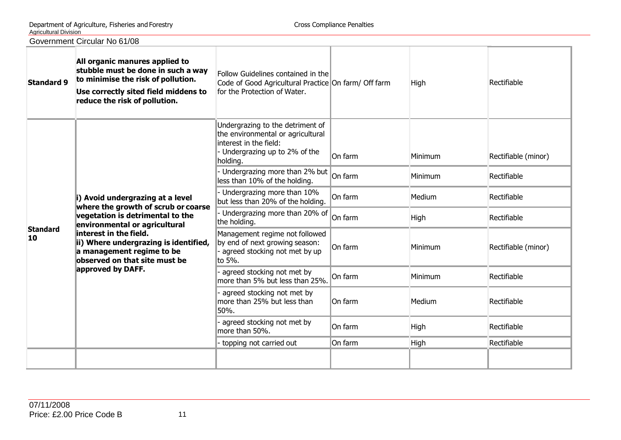| <b>Standard 9</b>     | All organic manures applied to<br>stubble must be done in such a way<br>to minimise the risk of pollution.<br>Use correctly sited field middens to<br>reduce the risk of pollution.                                                                                            | Follow Guidelines contained in the<br>Code of Good Agricultural Practice On farm/ Off farm<br>for the Protection of Water.                   |         | High    | Rectifiable         |
|-----------------------|--------------------------------------------------------------------------------------------------------------------------------------------------------------------------------------------------------------------------------------------------------------------------------|----------------------------------------------------------------------------------------------------------------------------------------------|---------|---------|---------------------|
|                       | i) Avoid undergrazing at a level<br>where the growth of scrub or coarse<br>vegetation is detrimental to the<br>environmental or agricultural<br>interest in the field.<br>ii) Where undergrazing is identified,<br>a management regime to be<br>lobserved on that site must be | Undergrazing to the detriment of<br>the environmental or agricultural<br>linterest in the field:<br>Undergrazing up to 2% of the<br>holding. | On farm | Minimum | Rectifiable (minor) |
|                       |                                                                                                                                                                                                                                                                                | Undergrazing more than 2% but<br>less than 10% of the holding.                                                                               | On farm | Minimum | Rectifiable         |
|                       |                                                                                                                                                                                                                                                                                | Undergrazing more than 10%<br>but less than 20% of the holding.                                                                              | On farm | Medium  | Rectifiable         |
|                       |                                                                                                                                                                                                                                                                                | Undergrazing more than 20% of<br>the holding.                                                                                                | On farm | High    | Rectifiable         |
| <b>Standard</b><br>10 |                                                                                                                                                                                                                                                                                | Management regime not followed<br>by end of next growing season:<br>agreed stocking not met by up<br>to 5%.                                  | On farm | Minimum | Rectifiable (minor) |
|                       | approved by DAFF.                                                                                                                                                                                                                                                              | agreed stocking not met by<br>more than 5% but less than 25%.                                                                                | On farm | Minimum | Rectifiable         |
|                       |                                                                                                                                                                                                                                                                                | agreed stocking not met by<br>more than 25% but less than<br>50%.                                                                            | On farm | Medium  | Rectifiable         |
|                       |                                                                                                                                                                                                                                                                                | agreed stocking not met by<br>more than 50%.                                                                                                 | On farm | High    | Rectifiable         |
|                       |                                                                                                                                                                                                                                                                                | topping not carried out                                                                                                                      | On farm | High    | Rectifiable         |
|                       |                                                                                                                                                                                                                                                                                |                                                                                                                                              |         |         |                     |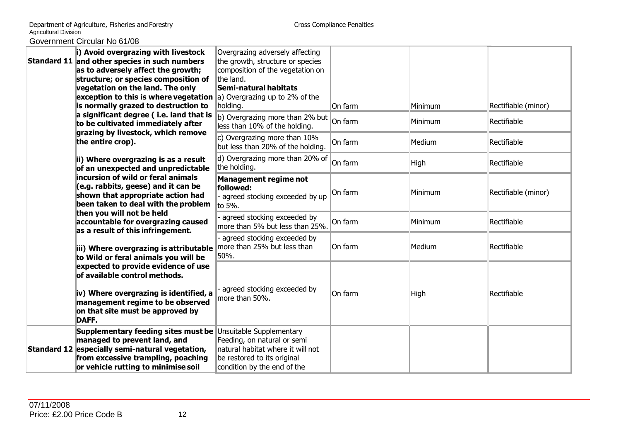| i) Avoid overgrazing with livestock<br>Standard 11 and other species in such numbers<br>as to adversely affect the growth;<br>structure; or species composition of<br>vegetation on the land. The only<br><b>exception to this is where vegetation</b> a) Overgrazing up to 2% of the<br>is normally grazed to destruction to<br>a significant degree (i.e. land that is | Overgrazing adversely affecting<br>the growth, structure or species<br>composition of the vegetation on<br>the land.<br>Semi-natural habitats<br>holding.<br>b) Overgrazing more than 2% but | On farm<br>On farm | Minimum<br>Minimum | Rectifiable (minor)<br>Rectifiable |
|--------------------------------------------------------------------------------------------------------------------------------------------------------------------------------------------------------------------------------------------------------------------------------------------------------------------------------------------------------------------------|----------------------------------------------------------------------------------------------------------------------------------------------------------------------------------------------|--------------------|--------------------|------------------------------------|
| to be cultivated immediately after<br>grazing by livestock, which remove<br>the entire crop).                                                                                                                                                                                                                                                                            | less than 10% of the holding.<br>c) Overgrazing more than $10\%$<br>but less than 20% of the holding.                                                                                        | On farm            | Medium             | Rectifiable                        |
| ii) Where overgrazing is as a result<br>of an unexpected and unpredictable                                                                                                                                                                                                                                                                                               | d) Overgrazing more than 20% of<br>the holding.                                                                                                                                              | On farm            | High               | Rectifiable                        |
| incursion of wild or feral animals<br>$(c.g.$ rabbits, geese) and it can be<br>shown that appropriate action had<br>been taken to deal with the problem                                                                                                                                                                                                                  | <b>Management regime not</b><br>followed:<br>agreed stocking exceeded by up<br>to 5%.                                                                                                        | On farm            | Minimum            | Rectifiable (minor)                |
| then you will not be held<br>accountable for overgrazing caused<br>as a result of this infringement.                                                                                                                                                                                                                                                                     | agreed stocking exceeded by<br>more than 5% but less than 25%.                                                                                                                               | On farm            | Minimum            | Rectifiable                        |
| iii) Where overgrazing is attributable<br>to Wild or feral animals you will be                                                                                                                                                                                                                                                                                           | agreed stocking exceeded by<br>more than 25% but less than<br>50%.                                                                                                                           | On farm            | Medium             | Rectifiable                        |
| expected to provide evidence of use<br>of available control methods.<br>iv) Where overgrazing is identified, a<br>management regime to be observed<br>on that site must be approved by<br>DAFF.                                                                                                                                                                          | agreed stocking exceeded by<br>more than 50%.                                                                                                                                                | On farm            | High               | Rectifiable                        |
| Supplementary feeding sites must be<br>managed to prevent land, and<br>Standard 12 especially semi-natural vegetation,<br>from excessive trampling, poaching<br>or vehicle rutting to minimise soil                                                                                                                                                                      | Unsuitable Supplementary<br>Feeding, on natural or semi<br>natural habitat where it will not<br>be restored to its original<br>condition by the end of the                                   |                    |                    |                                    |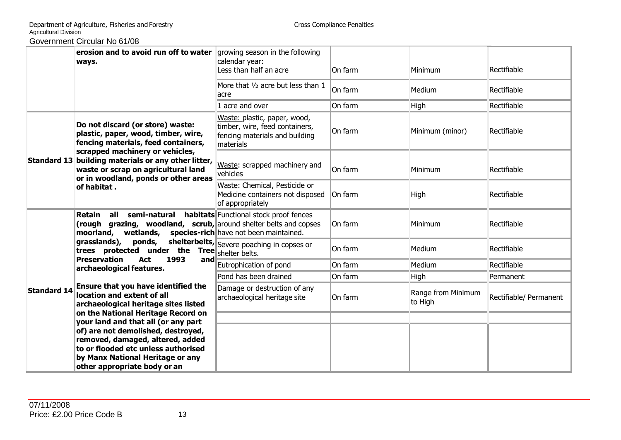| Government Circular No 61/08 |  |
|------------------------------|--|
|                              |  |

|                    | erosion and to avoid run off to water growing season in the following<br>ways.                                                                                                       | calendar year:<br>Less than half an acre                                                                      | On farm | Minimum                       | Rectifiable            |
|--------------------|--------------------------------------------------------------------------------------------------------------------------------------------------------------------------------------|---------------------------------------------------------------------------------------------------------------|---------|-------------------------------|------------------------|
|                    |                                                                                                                                                                                      | More that 1/2 acre but less than 1<br>acre                                                                    | On farm | Medium                        | Rectifiable            |
|                    |                                                                                                                                                                                      | 1 acre and over                                                                                               | On farm | High                          | Rectifiable            |
|                    | Do not discard (or store) waste:<br>plastic, paper, wood, timber, wire,<br>fencing materials, feed containers,                                                                       | Waste: plastic, paper, wood,<br>timber, wire, feed containers,<br>fencing materials and building<br>materials | On farm | Minimum (minor)               | Rectifiable            |
|                    | scrapped machinery or vehicles,<br>Standard 13 building materials or any other litter,<br>waste or scrap on agricultural land<br>or in woodland, ponds or other areas<br>of habitat. | Waste: scrapped machinery and<br>vehicles                                                                     | On farm | Minimum                       | Rectifiable            |
|                    |                                                                                                                                                                                      | Waste: Chemical, Pesticide or<br>Medicine containers not disposed<br>of appropriately                         | On farm | <b>High</b>                   | Rectifiable            |
|                    | <b>Retain all semi-natural habitats</b> Functional stock proof fences<br>(rough grazing, woodland, scrub, around shelter belts and copses<br>wetlands,<br>moorland,                  | species-rich have not been maintained.                                                                        | On farm | Minimum                       | Rectifiable            |
|                    | grasslands),<br>ponds,<br>trees protected under the                                                                                                                                  | shelterbelts, Severe poaching in copses or<br>Tree shelter belts.                                             | On farm | Medium                        | Rectifiable            |
|                    | <b>Preservation</b><br>Act<br>1993<br> and <br>archaeological features.                                                                                                              | Eutrophication of pond                                                                                        | On farm | Medium                        | Rectifiable            |
|                    |                                                                                                                                                                                      | Pond has been drained                                                                                         | On farm | High                          | Permanent              |
| <b>Standard 14</b> | Ensure that you have identified the<br>location and extent of all<br>archaeological heritage sites listed                                                                            | Damage or destruction of any<br>archaeological heritage site                                                  | On farm | Range from Minimum<br>to High | Rectifiable/ Permanent |
|                    | on the National Heritage Record on<br>your land and that all (or any part                                                                                                            |                                                                                                               |         |                               |                        |
|                    | of) are not demolished, destroyed,                                                                                                                                                   |                                                                                                               |         |                               |                        |
|                    | removed, damaged, altered, added                                                                                                                                                     |                                                                                                               |         |                               |                        |
|                    | to or flooded etc unless authorised                                                                                                                                                  |                                                                                                               |         |                               |                        |
|                    | by Manx National Heritage or any<br>other appropriate body or an                                                                                                                     |                                                                                                               |         |                               |                        |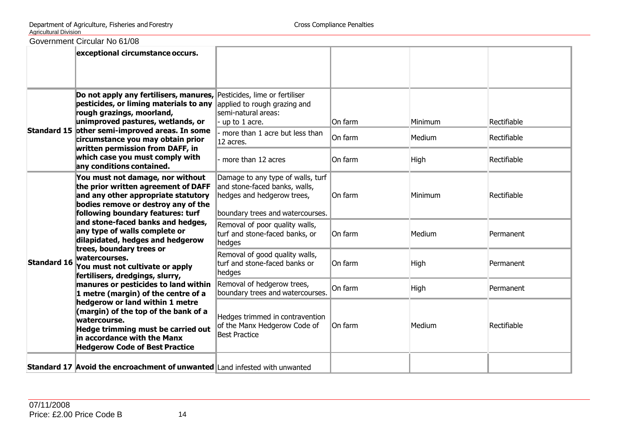|                    | Government Circular No 61/08                                                                                                                                                                                                                                                                                                                                                                              |                                                                                                                                      |                               |                           |                                           |
|--------------------|-----------------------------------------------------------------------------------------------------------------------------------------------------------------------------------------------------------------------------------------------------------------------------------------------------------------------------------------------------------------------------------------------------------|--------------------------------------------------------------------------------------------------------------------------------------|-------------------------------|---------------------------|-------------------------------------------|
|                    | exceptional circumstance occurs.                                                                                                                                                                                                                                                                                                                                                                          |                                                                                                                                      |                               |                           |                                           |
|                    | Do not apply any fertilisers, manures, Pesticides, lime or fertiliser<br>pesticides, or liming materials to any applied to rough grazing and<br>rough grazings, moorland,<br>unimproved pastures, wetlands, or<br>Standard 15 other semi-improved areas. In some<br>circumstance you may obtain prior<br>written permission from DAFF, in<br>which case you must comply with<br>any conditions contained. | semi-natural areas:<br>$u$ up to 1 acre.<br>more than 1 acre but less than<br>12 acres.<br>more than 12 acres                        | On farm<br>On farm<br>On farm | Minimum<br>Medium<br>High | Rectifiable<br>Rectifiable<br>Rectifiable |
|                    | You must not damage, nor without<br>the prior written agreement of DAFF<br>and any other appropriate statutory<br>bodies remove or destroy any of the<br>following boundary features: turf                                                                                                                                                                                                                | Damage to any type of walls, turf<br>and stone-faced banks, walls,<br>hedges and hedgerow trees,<br>boundary trees and watercourses. | On farm                       | Minimum                   | Rectifiable                               |
|                    | and stone-faced banks and hedges,<br>any type of walls complete or<br>dilapidated, hedges and hedgerow                                                                                                                                                                                                                                                                                                    | Removal of poor quality walls,<br>turf and stone-faced banks, or<br>hedges                                                           | On farm                       | Medium                    | Permanent                                 |
| <b>Standard 16</b> | trees, boundary trees or<br>watercourses.<br>You must not cultivate or apply<br>fertilisers, dredgings, slurry,                                                                                                                                                                                                                                                                                           | Removal of good quality walls,<br>turf and stone-faced banks or<br>hedges                                                            | On farm                       | High                      | Permanent                                 |
|                    | manures or pesticides to land within<br>1 metre (margin) of the centre of a                                                                                                                                                                                                                                                                                                                               | Removal of hedgerow trees,<br>boundary trees and watercourses.                                                                       | On farm                       | High                      | Permanent                                 |
|                    | hedgerow or land within 1 metre<br>(margin) of the top of the bank of a<br>watercourse.<br>Hedge trimming must be carried out<br>in accordance with the Manx<br><b>Hedgerow Code of Best Practice</b>                                                                                                                                                                                                     | Hedges trimmed in contravention<br>of the Manx Hedgerow Code of<br><b>Best Practice</b>                                              | On farm                       | Medium                    | Rectifiable                               |
|                    | <b>Standard 17 Avoid the encroachment of unwanted Land infested with unwanted</b>                                                                                                                                                                                                                                                                                                                         |                                                                                                                                      |                               |                           |                                           |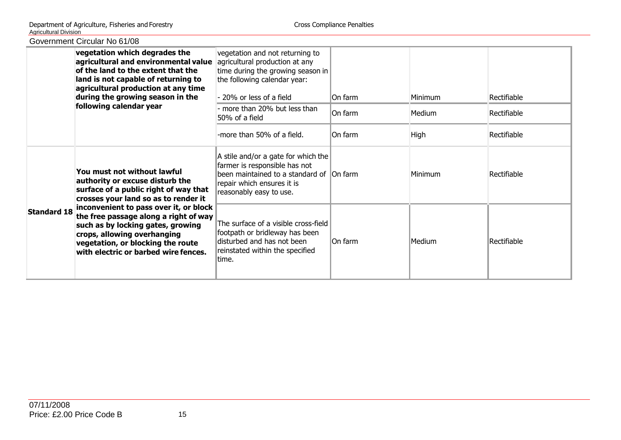| OUVULLIITUIN OIIUUIUI TYÖ UTTUU |                                                                                                                                                                                                                                                                                                                                                                                     |                                                                                                                                                                           |         |         |             |
|---------------------------------|-------------------------------------------------------------------------------------------------------------------------------------------------------------------------------------------------------------------------------------------------------------------------------------------------------------------------------------------------------------------------------------|---------------------------------------------------------------------------------------------------------------------------------------------------------------------------|---------|---------|-------------|
|                                 | vegetation which degrades the<br>agricultural and environmental value<br>of the land to the extent that the<br>land is not capable of returning to<br>agricultural production at any time<br>during the growing season in the                                                                                                                                                       | vegetation and not returning to<br>agricultural production at any<br>time during the growing season in<br>the following calendar year:<br>- 20% or less of a field        | On farm | Minimum | Rectifiable |
|                                 | following calendar year                                                                                                                                                                                                                                                                                                                                                             | - more than 20% but less than<br>50% of a field                                                                                                                           | On farm | Medium  | Rectifiable |
|                                 |                                                                                                                                                                                                                                                                                                                                                                                     | -more than 50% of a field.                                                                                                                                                | On farm | High    | Rectifiable |
| <b>Standard 18</b>              | You must not without lawful<br>authority or excuse disturb the<br>surface of a public right of way that<br>crosses your land so as to render it<br>inconvenient to pass over it, or block<br>the free passage along a right of way<br>such as by locking gates, growing<br>crops, allowing overhanging<br>vegetation, or blocking the route<br>with electric or barbed wire fences. | A stile and/or a gate for which the<br>farmer is responsible has not<br>been maintained to a standard of On farm<br>repair which ensures it is<br>reasonably easy to use. |         | Minimum | Rectifiable |
|                                 |                                                                                                                                                                                                                                                                                                                                                                                     | The surface of a visible cross-field<br>footpath or bridleway has been<br>disturbed and has not been<br>reinstated within the specified<br>ltime.                         | On farm | Medium  | Rectifiable |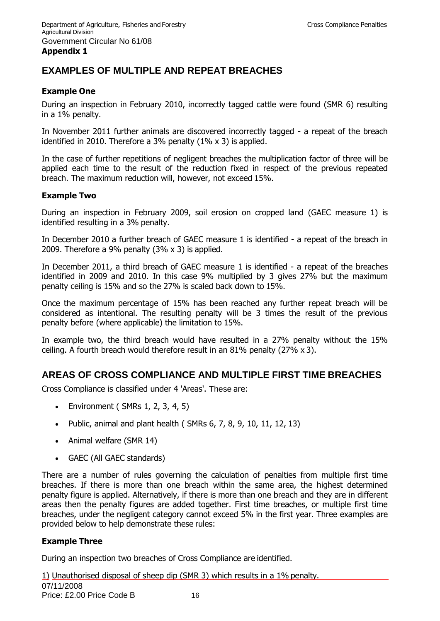#### Government Circular No 61/08 **Appendix 1**

## **EXAMPLES OF MULTIPLE AND REPEAT BREACHES**

## **Example One**

During an inspection in February 2010, incorrectly tagged cattle were found (SMR 6) resulting in a 1% penalty.

In November 2011 further animals are discovered incorrectly tagged - a repeat of the breach identified in 2010. Therefore a 3% penalty (1% x 3) is applied.

In the case of further repetitions of negligent breaches the multiplication factor of three will be applied each time to the result of the reduction fixed in respect of the previous repeated breach. The maximum reduction will, however, not exceed 15%.

## **Example Two**

During an inspection in February 2009, soil erosion on cropped land (GAEC measure 1) is identified resulting in a 3% penalty.

In December 2010 a further breach of GAEC measure 1 is identified - a repeat of the breach in 2009. Therefore a 9% penalty (3% x 3) is applied.

In December 2011, a third breach of GAEC measure 1 is identified - a repeat of the breaches identified in 2009 and 2010. In this case 9% multiplied by 3 gives 27% but the maximum penalty ceiling is 15% and so the 27% is scaled back down to 15%.

Once the maximum percentage of 15% has been reached any further repeat breach will be considered as intentional. The resulting penalty will be 3 times the result of the previous penalty before (where applicable) the limitation to 15%.

In example two, the third breach would have resulted in a 27% penalty without the 15% ceiling. A fourth breach would therefore result in an 81% penalty (27% x 3).

## **AREAS OF CROSS COMPLIANCE AND MULTIPLE FIRST TIME BREACHES**

Cross Compliance is classified under 4 'Areas'. These are:

- Environment ( $SMRs$  1, 2, 3, 4, 5)
- Public, animal and plant health ( $SMRs$  6, 7, 8, 9, 10, 11, 12, 13)
- Animal welfare (SMR 14)
- GAEC (All GAEC standards)

There are a number of rules governing the calculation of penalties from multiple first time breaches. If there is more than one breach within the same area, the highest determined penalty figure is applied. Alternatively, if there is more than one breach and they are in different areas then the penalty figures are added together. First time breaches, or multiple first time breaches, under the negligent category cannot exceed 5% in the first year. Three examples are provided below to help demonstrate these rules:

#### **Example Three**

During an inspection two breaches of Cross Compliance are identified.

07/11/2008 Price: £2.00 Price Code B 16 1) Unauthorised disposal of sheep dip (SMR 3) which results in a 1% penalty.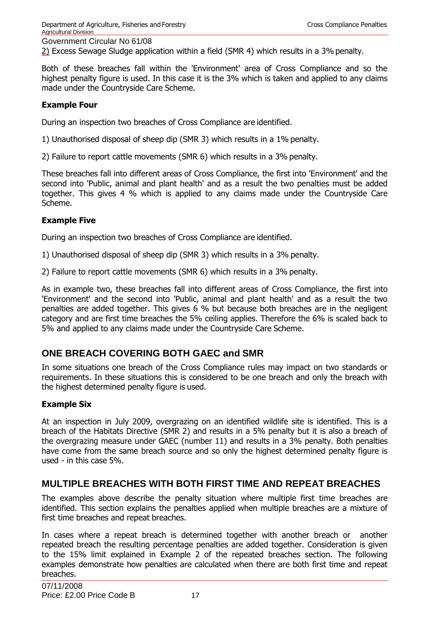2) Excess Sewage Sludge application within a field (SMR 4) which results in a 3% penalty.

Both of these breaches fall within the 'Environment' area of Cross Compliance and so the highest penalty figure is used. In this case it is the 3% which is taken and applied to any claims made under the Countryside Care Scheme.

#### **Example Four**

During an inspection two breaches of Cross Compliance are identified.

1) Unauthorised disposal of sheep dip (SMR 3) which results in a 1% penalty.

2) Failure to report cattle movements (SMR 6) which results in a 3% penalty.

These breaches fall into different areas of Cross Compliance, the first into 'Environment' and the second into 'Public, animal and plant health' and as a result the two penalties must be added together. This gives 4 % which is applied to any claims made under the Countryside Care Scheme.

## **Example Five**

During an inspection two breaches of Cross Compliance are identified.

1) Unauthorised disposal of sheep dip (SMR 3) which results in a 3% penalty.

2) Failure to report cattle movements (SMR 6) which results in a 3% penalty.

As in example two, these breaches fall into different areas of Cross Compliance, the first into 'Environment' and the second into 'Public, animal and plant health' and as a result the two penalties are added together. This gives 6 % but because both breaches are in the negligent category and are first time breaches the 5% ceiling applies. Therefore the 6% is scaled back to 5% and applied to any claims made under the Countryside Care Scheme.

## **ONE BREACH COVERING BOTH GAEC and SMR**

In some situations one breach of the Cross Compliance rules may impact on two standards or requirements. In these situations this is considered to be one breach and only the breach with the highest determined penalty figure is used.

#### **Example Six**

At an inspection in July 2009, overgrazing on an identified wildlife site is identified. This is a breach of the Habitats Directive (SMR 2) and results in a 5% penalty but it is also a breach of the overgrazing measure under GAEC (number 11) and results in a 3% penalty. Both penalties have come from the same breach source and so only the highest determined penalty figure is used - in this case 5%.

## **MULTIPLE BREACHES WITH BOTH FIRST TIME AND REPEAT BREACHES**

The examples above describe the penalty situation where multiple first time breaches are identified. This section explains the penalties applied when multiple breaches are a mixture of first time breaches and repeat breaches.

In cases where a repeat breach is determined together with another breach or another repeated breach the resulting percentage penalties are added together. Consideration is given to the 15% limit explained in Example 2 of the repeated breaches section. The following examples demonstrate how penalties are calculated when there are both first time and repeat breaches.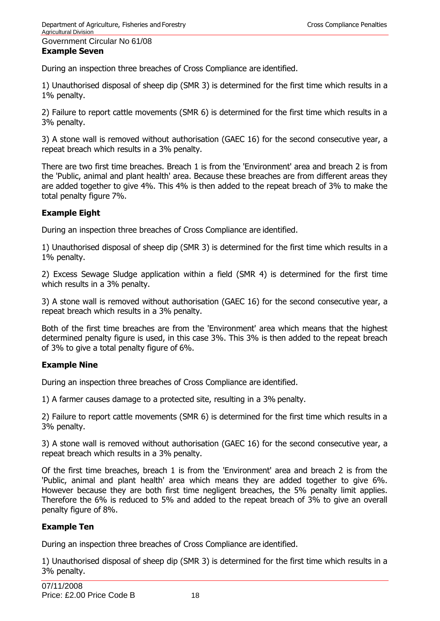## Government Circular No 61/08 **Example Seven**

During an inspection three breaches of Cross Compliance are identified.

1) Unauthorised disposal of sheep dip (SMR 3) is determined for the first time which results in a 1% penalty.

2) Failure to report cattle movements (SMR 6) is determined for the first time which results in a 3% penalty.

3) A stone wall is removed without authorisation (GAEC 16) for the second consecutive year, a repeat breach which results in a 3% penalty.

There are two first time breaches. Breach 1 is from the 'Environment' area and breach 2 is from the 'Public, animal and plant health' area. Because these breaches are from different areas they are added together to give 4%. This 4% is then added to the repeat breach of 3% to make the total penalty figure 7%.

## **Example Eight**

During an inspection three breaches of Cross Compliance are identified.

1) Unauthorised disposal of sheep dip (SMR 3) is determined for the first time which results in a 1% penalty.

2) Excess Sewage Sludge application within a field (SMR 4) is determined for the first time which results in a 3% penalty.

3) A stone wall is removed without authorisation (GAEC 16) for the second consecutive year, a repeat breach which results in a 3% penalty.

Both of the first time breaches are from the 'Environment' area which means that the highest determined penalty figure is used, in this case 3%. This 3% is then added to the repeat breach of 3% to give a total penalty figure of 6%.

## **Example Nine**

During an inspection three breaches of Cross Compliance are identified.

1) A farmer causes damage to a protected site, resulting in a 3% penalty.

2) Failure to report cattle movements (SMR 6) is determined for the first time which results in a 3% penalty.

3) A stone wall is removed without authorisation (GAEC 16) for the second consecutive year, a repeat breach which results in a 3% penalty.

Of the first time breaches, breach 1 is from the 'Environment' area and breach 2 is from the 'Public, animal and plant health' area which means they are added together to give 6%. However because they are both first time negligent breaches, the 5% penalty limit applies. Therefore the 6% is reduced to 5% and added to the repeat breach of 3% to give an overall penalty figure of 8%.

## **Example Ten**

During an inspection three breaches of Cross Compliance are identified.

1) Unauthorised disposal of sheep dip (SMR 3) is determined for the first time which results in a 3% penalty.